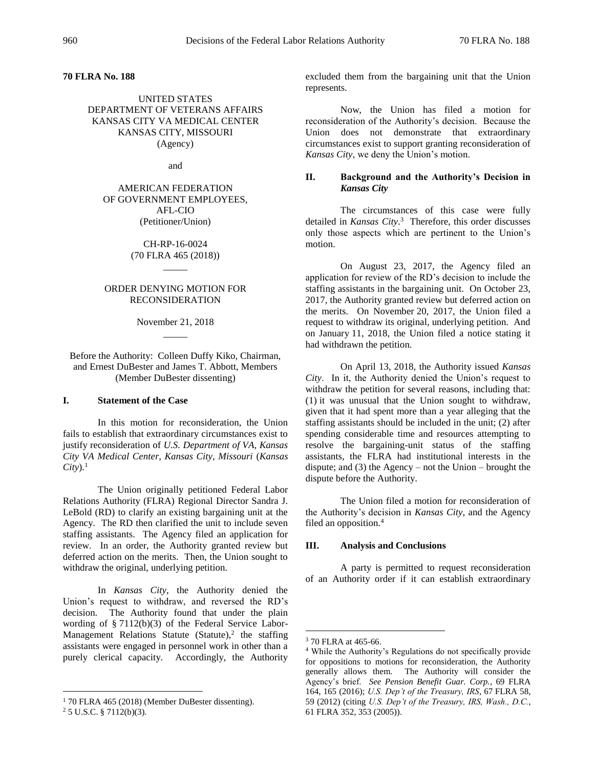### **70 FLRA No. 188**

UNITED STATES DEPARTMENT OF VETERANS AFFAIRS KANSAS CITY VA MEDICAL CENTER KANSAS CITY, MISSOURI (Agency)

and

AMERICAN FEDERATION OF GOVERNMENT EMPLOYEES, AFL-CIO (Petitioner/Union)

> CH-RP-16-0024 (70 FLRA 465 (2018))  $\overline{\phantom{a}}$

# ORDER DENYING MOTION FOR RECONSIDERATION

November 21, 2018  $\overline{\phantom{a}}$ 

Before the Authority: Colleen Duffy Kiko, Chairman, and Ernest DuBester and James T. Abbott, Members (Member DuBester dissenting)

# **I. Statement of the Case**

In this motion for reconsideration, the Union fails to establish that extraordinary circumstances exist to justify reconsideration of *U.S. Department of VA, Kansas City VA Medical Center, Kansas City, Missouri* (*Kansas*  $City).<sup>1</sup>$ 

The Union originally petitioned Federal Labor Relations Authority (FLRA) Regional Director Sandra J. LeBold (RD) to clarify an existing bargaining unit at the Agency. The RD then clarified the unit to include seven staffing assistants. The Agency filed an application for review. In an order, the Authority granted review but deferred action on the merits. Then, the Union sought to withdraw the original, underlying petition.

In *Kansas City*, the Authority denied the Union's request to withdraw, and reversed the RD's decision. The Authority found that under the plain wording of § 7112(b)(3) of the Federal Service Labor-Management Relations Statute (Statute),<sup>2</sup> the staffing assistants were engaged in personnel work in other than a purely clerical capacity. Accordingly, the Authority

 $\overline{a}$ 

excluded them from the bargaining unit that the Union represents.

Now, the Union has filed a motion for reconsideration of the Authority's decision. Because the Union does not demonstrate that extraordinary circumstances exist to support granting reconsideration of *Kansas City*, we deny the Union's motion.

## **II. Background and the Authority's Decision in**  *Kansas City*

The circumstances of this case were fully detailed in *Kansas City*. 3 Therefore, this order discusses only those aspects which are pertinent to the Union's motion.

On August 23, 2017, the Agency filed an application for review of the RD's decision to include the staffing assistants in the bargaining unit. On October 23, 2017, the Authority granted review but deferred action on the merits. On November 20, 2017, the Union filed a request to withdraw its original, underlying petition. And on January 11, 2018, the Union filed a notice stating it had withdrawn the petition.

On April 13, 2018, the Authority issued *Kansas City*. In it, the Authority denied the Union's request to withdraw the petition for several reasons, including that: (1) it was unusual that the Union sought to withdraw, given that it had spent more than a year alleging that the staffing assistants should be included in the unit; (2) after spending considerable time and resources attempting to resolve the bargaining-unit status of the staffing assistants, the FLRA had institutional interests in the dispute; and (3) the Agency – not the Union – brought the dispute before the Authority.

The Union filed a motion for reconsideration of the Authority's decision in *Kansas City*, and the Agency filed an opposition.<sup>4</sup>

#### **III. Analysis and Conclusions**

A party is permitted to request reconsideration of an Authority order if it can establish extraordinary

<sup>1</sup> 70 FLRA 465 (2018) (Member DuBester dissenting).

<sup>2</sup> 5 U.S.C. § 7112(b)(3).

<sup>3</sup> 70 FLRA at 465-66.

<sup>4</sup> While the Authority's Regulations do not specifically provide for oppositions to motions for reconsideration, the Authority generally allows them. The Authority will consider the Agency's brief. *See Pension Benefit Guar. Corp.*, 69 FLRA 164, 165 (2016); *U.S. Dep't of the Treasury, IRS*, 67 FLRA 58, 59 (2012) (citing *U.S. Dep't of the Treasury, IRS, Wash., D.C.*, 61 FLRA 352, 353 (2005)).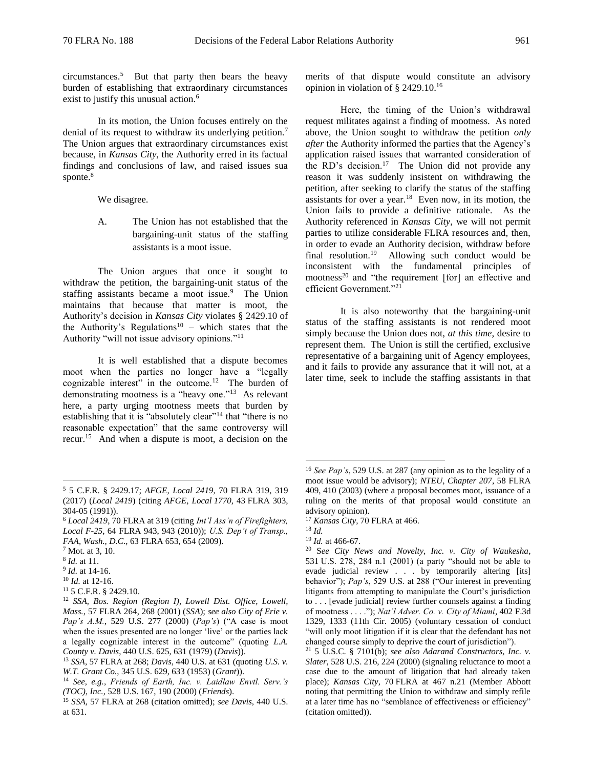circumstances.<sup>5</sup> But that party then bears the heavy burden of establishing that extraordinary circumstances exist to justify this unusual action.<sup>6</sup>

In its motion, the Union focuses entirely on the denial of its request to withdraw its underlying petition.<sup>7</sup> The Union argues that extraordinary circumstances exist because, in *Kansas City*, the Authority erred in its factual findings and conclusions of law, and raised issues sua sponte.<sup>8</sup>

We disagree.

A. The Union has not established that the bargaining-unit status of the staffing assistants is a moot issue.

The Union argues that once it sought to withdraw the petition, the bargaining-unit status of the staffing assistants became a moot issue.<sup>9</sup> The Union maintains that because that matter is moot, the Authority's decision in *Kansas City* violates § 2429.10 of the Authority's Regulations<sup>10</sup> – which states that the Authority "will not issue advisory opinions."<sup>11</sup>

It is well established that a dispute becomes moot when the parties no longer have a "legally cognizable interest" in the outcome.<sup>12</sup> The burden of demonstrating mootness is a "heavy one."<sup>13</sup> As relevant here, a party urging mootness meets that burden by establishing that it is "absolutely clear"<sup>14</sup> that "there is no reasonable expectation" that the same controversy will recur.<sup>15</sup> And when a dispute is moot, a decision on the

 $\overline{a}$ 

merits of that dispute would constitute an advisory opinion in violation of  $\S$  2429.10.<sup>16</sup>

Here, the timing of the Union's withdrawal request militates against a finding of mootness. As noted above, the Union sought to withdraw the petition *only after* the Authority informed the parties that the Agency's application raised issues that warranted consideration of the RD's decision.<sup>17</sup> The Union did not provide any reason it was suddenly insistent on withdrawing the petition, after seeking to clarify the status of the staffing assistants for over a year.<sup>18</sup> Even now, in its motion, the Union fails to provide a definitive rationale. As the Authority referenced in *Kansas City*, we will not permit parties to utilize considerable FLRA resources and, then, in order to evade an Authority decision, withdraw before final resolution.<sup>19</sup> Allowing such conduct would be inconsistent with the fundamental principles of mootness<sup>20</sup> and "the requirement [for] an effective and efficient Government."<sup>21</sup>

It is also noteworthy that the bargaining-unit status of the staffing assistants is not rendered moot simply because the Union does not, *at this time*, desire to represent them. The Union is still the certified, exclusive representative of a bargaining unit of Agency employees, and it fails to provide any assurance that it will not, at a later time, seek to include the staffing assistants in that

<sup>5</sup> 5 C.F.R. § 2429.17; *AFGE, Local 2419*, 70 FLRA 319, 319 (2017) (*Local 2419*) (citing *AFGE, Local 1770*, 43 FLRA 303, 304-05 (1991)).

<sup>6</sup> *Local 2419*, 70 FLRA at 319 (citing *Int'l Ass'n of Firefighters, Local F-25*, 64 FLRA 943, 943 (2010)); *U.S. Dep't of Transp., FAA, Wash., D.C.*, 63 FLRA 653, 654 (2009).

<sup>7</sup> Mot. at 3, 10.

<sup>8</sup> *Id.* at 11.

<sup>9</sup> *Id.* at 14-16.

<sup>10</sup> *Id.* at 12-16.

<sup>11</sup> 5 C.F.R. § 2429.10.

<sup>12</sup> *SSA, Bos. Region (Region I), Lowell Dist. Office, Lowell, Mass.*, 57 FLRA 264, 268 (2001) (*SSA*); *see also City of Erie v. Pap's A.M.*, 529 U.S. 277 (2000) (*Pap's*) ("A case is moot when the issues presented are no longer 'live' or the parties lack a legally cognizable interest in the outcome" (quoting *L.A. County v. Davis*, 440 U.S. 625, 631 (1979) (*Davis*)).

<sup>13</sup> *SSA*, 57 FLRA at 268; *Davis*, 440 U.S. at 631 (quoting *U.S. v. W.T. Grant Co.*, 345 U.S. 629, 633 (1953) (*Grant*)).

<sup>14</sup> *See, e.g.*, *Friends of Earth, Inc. v. Laidlaw Envtl. Serv.'s (TOC), Inc.*, 528 U.S. 167, 190 (2000) (*Friends*).

<sup>15</sup> *SSA*, 57 FLRA at 268 (citation omitted); *see Davis*, 440 U.S. at 631.

<sup>16</sup> *See Pap's*, 529 U.S. at 287 (any opinion as to the legality of a moot issue would be advisory); *NTEU, Chapter 207*, 58 FLRA 409, 410 (2003) (where a proposal becomes moot, issuance of a ruling on the merits of that proposal would constitute an advisory opinion).

<sup>17</sup> *Kansas City*, 70 FLRA at 466.

<sup>18</sup> *Id.* <sup>19</sup> *Id.* at 466-67.

<sup>20</sup> S*ee City News and Novelty, Inc. v. City of Waukesha*, 531 U.S. 278, 284 n.1 (2001) (a party "should not be able to evade judicial review . . . by temporarily altering [its] behavior"); *Pap's*, 529 U.S. at 288 ("Our interest in preventing litigants from attempting to manipulate the Court's jurisdiction to . . . [evade judicial] review further counsels against a finding of mootness . . . ."); *Nat'l Adver. Co. v. City of Miami*, 402 F.3d 1329, 1333 (11th Cir. 2005) (voluntary cessation of conduct "will only moot litigation if it is clear that the defendant has not changed course simply to deprive the court of jurisdiction").

<sup>21</sup> 5 U.S.C. § 7101(b); *see also Adarand Constructors, Inc. v. Slater*, 528 U.S. 216, 224 (2000) (signaling reluctance to moot a case due to the amount of litigation that had already taken place); *Kansas City*, 70 FLRA at 467 n.21 (Member Abbott noting that permitting the Union to withdraw and simply refile at a later time has no "semblance of effectiveness or efficiency" (citation omitted)).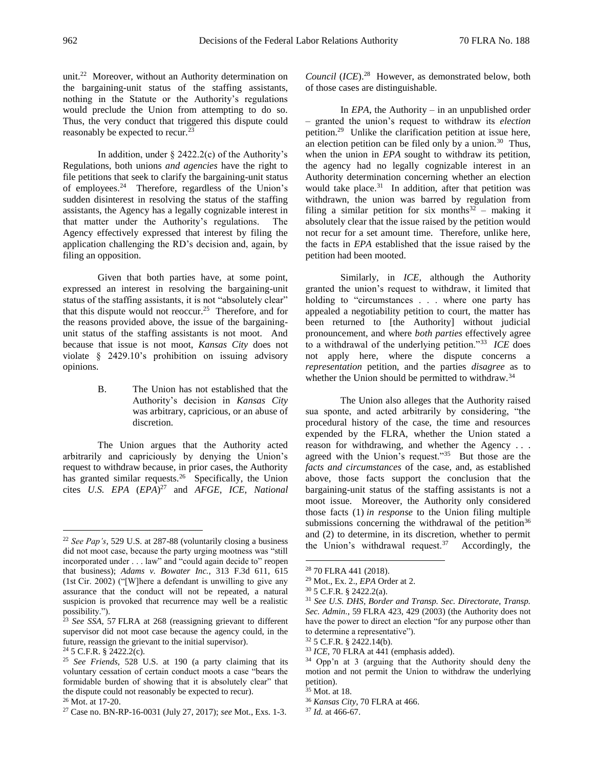unit.<sup>22</sup> Moreover, without an Authority determination on the bargaining-unit status of the staffing assistants, nothing in the Statute or the Authority's regulations would preclude the Union from attempting to do so. Thus, the very conduct that triggered this dispute could reasonably be expected to recur.<sup>23</sup>

In addition, under  $\S$  2422.2(c) of the Authority's Regulations, both unions *and agencies* have the right to file petitions that seek to clarify the bargaining-unit status of employees.<sup>24</sup> Therefore, regardless of the Union's sudden disinterest in resolving the status of the staffing assistants, the Agency has a legally cognizable interest in that matter under the Authority's regulations. The Agency effectively expressed that interest by filing the application challenging the RD's decision and, again, by filing an opposition.

Given that both parties have, at some point, expressed an interest in resolving the bargaining-unit status of the staffing assistants, it is not "absolutely clear" that this dispute would not reoccur.<sup>25</sup> Therefore, and for the reasons provided above, the issue of the bargainingunit status of the staffing assistants is not moot. And because that issue is not moot, *Kansas City* does not violate § 2429.10's prohibition on issuing advisory opinions.

> B. The Union has not established that the Authority's decision in *Kansas City*  was arbitrary, capricious, or an abuse of discretion.

The Union argues that the Authority acted arbitrarily and capriciously by denying the Union's request to withdraw because, in prior cases, the Authority has granted similar requests.<sup>26</sup> Specifically, the Union cites *U.S. EPA* (*EPA*) <sup>27</sup> and *AFGE, ICE, National* 

 $\overline{a}$ 

*Council* (*ICE*).<sup>28</sup> However, as demonstrated below, both of those cases are distinguishable.

In  $EPA$ , the Authority – in an unpublished order – granted the union's request to withdraw its *election* petition.<sup>29</sup> Unlike the clarification petition at issue here, an election petition can be filed only by a union.<sup>30</sup> Thus, when the union in *EPA* sought to withdraw its petition, the agency had no legally cognizable interest in an Authority determination concerning whether an election would take place. $31$  In addition, after that petition was withdrawn, the union was barred by regulation from filing a similar petition for six months<sup>32</sup> – making it absolutely clear that the issue raised by the petition would not recur for a set amount time. Therefore, unlike here, the facts in *EPA* established that the issue raised by the petition had been mooted.

Similarly, in *ICE*, although the Authority granted the union's request to withdraw, it limited that holding to "circumstances . . . where one party has appealed a negotiability petition to court, the matter has been returned to [the Authority] without judicial pronouncement, and where *both parties* effectively agree to a withdrawal of the underlying petition."<sup>33</sup> *ICE* does not apply here, where the dispute concerns a *representation* petition, and the parties *disagree* as to whether the Union should be permitted to withdraw.<sup>34</sup>

The Union also alleges that the Authority raised sua sponte, and acted arbitrarily by considering, "the procedural history of the case, the time and resources expended by the FLRA, whether the Union stated a reason for withdrawing, and whether the Agency . . . agreed with the Union's request."<sup>35</sup> But those are the *facts and circumstances* of the case, and, as established above, those facts support the conclusion that the bargaining-unit status of the staffing assistants is not a moot issue. Moreover, the Authority only considered those facts (1) *in response* to the Union filing multiple submissions concerning the withdrawal of the petition $36$ and (2) to determine, in its discretion, whether to permit the Union's withdrawal request.<sup>37</sup> Accordingly, the

<sup>22</sup> *See Pap's*, 529 U.S. at 287-88 (voluntarily closing a business did not moot case, because the party urging mootness was "still incorporated under . . . law" and "could again decide to" reopen that business); *Adams v. Bowater Inc.*, 313 F.3d 611, 615 (1st Cir. 2002) ("[W]here a defendant is unwilling to give any assurance that the conduct will not be repeated, a natural suspicion is provoked that recurrence may well be a realistic possibility.").

<sup>&</sup>lt;sup>23</sup> See SSA, 57 FLRA at 268 (reassigning grievant to different supervisor did not moot case because the agency could, in the future, reassign the grievant to the initial supervisor).

 $24$  5 C.F.R. § 2422.2(c).

<sup>25</sup> *See Friends*, 528 U.S. at 190 (a party claiming that its voluntary cessation of certain conduct moots a case "bears the formidable burden of showing that it is absolutely clear" that the dispute could not reasonably be expected to recur).

<sup>26</sup> Mot. at 17-20.

<sup>27</sup> Case no. BN-RP-16-0031 (July 27, 2017); *see* Mot., Exs. 1-3.

<sup>28</sup> 70 FLRA 441 (2018).

<sup>29</sup> Mot., Ex. 2., *EPA* Order at 2.

<sup>30</sup> 5 C.F.R. § 2422.2(a).

<sup>31</sup> *See U.S. DHS, Border and Transp. Sec. Directorate, Transp. Sec. Admin.*, 59 FLRA 423, 429 (2003) (the Authority does not have the power to direct an election "for any purpose other than to determine a representative").

 $32$  5 C.F.R. § 2422.14(b).

<sup>&</sup>lt;sup>33</sup> *ICE*, 70 FLRA at 441 (emphasis added).

<sup>34</sup> Opp'n at 3 (arguing that the Authority should deny the motion and not permit the Union to withdraw the underlying petition).

<sup>35</sup> Mot. at 18.

<sup>36</sup> *Kansas City*, 70 FLRA at 466.

<sup>37</sup> *Id.* at 466-67.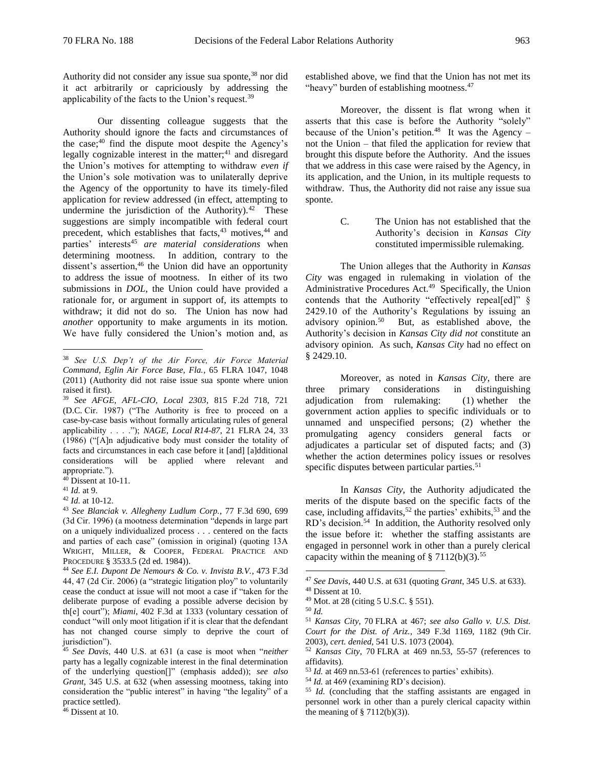Authority did not consider any issue sua sponte,<sup>38</sup> nor did it act arbitrarily or capriciously by addressing the applicability of the facts to the Union's request.<sup>39</sup>

Our dissenting colleague suggests that the Authority should ignore the facts and circumstances of the case;<sup>40</sup> find the dispute moot despite the Agency's legally cognizable interest in the matter; $41$  and disregard the Union's motives for attempting to withdraw *even if*  the Union's sole motivation was to unilaterally deprive the Agency of the opportunity to have its timely-filed application for review addressed (in effect, attempting to undermine the jurisdiction of the Authority). $42$  These suggestions are simply incompatible with federal court precedent, which establishes that facts, $43$  motives, $44$  and parties' interests<sup>45</sup> are material considerations when determining mootness. In addition, contrary to the dissent's assertion,<sup>46</sup> the Union did have an opportunity to address the issue of mootness. In either of its two submissions in *DOL*, the Union could have provided a rationale for, or argument in support of, its attempts to withdraw; it did not do so. The Union has now had *another* opportunity to make arguments in its motion. We have fully considered the Union's motion and, as

 $40$  Dissent at 10-11.

 $\overline{a}$ 

established above, we find that the Union has not met its "heavy" burden of establishing mootness.<sup>47</sup>

Moreover, the dissent is flat wrong when it asserts that this case is before the Authority "solely" because of the Union's petition.<sup>48</sup> It was the Agency – not the Union – that filed the application for review that brought this dispute before the Authority. And the issues that we address in this case were raised by the Agency, in its application, and the Union, in its multiple requests to withdraw. Thus, the Authority did not raise any issue sua sponte.

> C. The Union has not established that the Authority's decision in *Kansas City* constituted impermissible rulemaking.

The Union alleges that the Authority in *Kansas City* was engaged in rulemaking in violation of the Administrative Procedures Act.<sup>49</sup> Specifically, the Union contends that the Authority "effectively repeal[ed]" § 2429.10 of the Authority's Regulations by issuing an advisory opinion.<sup>50</sup> But, as established above, the Authority's decision in *Kansas City did not* constitute an advisory opinion. As such, *Kansas City* had no effect on § 2429.10.

Moreover, as noted in *Kansas City*, there are three primary considerations in distinguishing adjudication from rulemaking: (1) whether the government action applies to specific individuals or to unnamed and unspecified persons; (2) whether the promulgating agency considers general facts or adjudicates a particular set of disputed facts; and (3) whether the action determines policy issues or resolves specific disputes between particular parties.<sup>51</sup>

In *Kansas City,* the Authority adjudicated the merits of the dispute based on the specific facts of the case, including affidavits,<sup>52</sup> the parties' exhibits,<sup>53</sup> and the RD's decision.<sup>54</sup> In addition, the Authority resolved only the issue before it: whether the staffing assistants are engaged in personnel work in other than a purely clerical capacity within the meaning of  $\S 7112(b)(3).$ <sup>55</sup>

<sup>38</sup> *See U.S. Dep't of the Air Force, Air Force Material Command, Eglin Air Force Base, Fla.*, 65 FLRA 1047, 1048 (2011) (Authority did not raise issue sua sponte where union raised it first).

<sup>39</sup> *See AFGE, AFL-CIO, Local 2303*, 815 F.2d 718, 721 (D.C. Cir. 1987) ("The Authority is free to proceed on a case-by-case basis without formally articulating rules of general applicability . . . ."); *NAGE, Local R14-87*, 21 FLRA 24, 33 (1986) ("[A]n adjudicative body must consider the totality of facts and circumstances in each case before it [and] [a]dditional considerations will be applied where relevant and appropriate.").

<sup>41</sup> *Id.* at 9.

<sup>42</sup> *Id.* at 10-12.

<sup>43</sup> *See Blanciak v. Allegheny Ludlum Corp.*, 77 F.3d 690, 699 (3d Cir. 1996) (a mootness determination "depends in large part on a uniquely individualized process . . . centered on the facts and parties of each case" (omission in original) (quoting 13A WRIGHT, MILLER, & COOPER, FEDERAL PRACTICE AND PROCEDURE § 3533.5 (2d ed. 1984)).

<sup>44</sup> *See E.I. Dupont De Nemours & Co. v. Invista B.V.*, 473 F.3d 44, 47 (2d Cir. 2006) (a "strategic litigation ploy" to voluntarily cease the conduct at issue will not moot a case if "taken for the deliberate purpose of evading a possible adverse decision by th[e] court"); *Miami*, 402 F.3d at 1333 (voluntary cessation of conduct "will only moot litigation if it is clear that the defendant has not changed course simply to deprive the court of jurisdiction").

<sup>45</sup> *See Davis*, 440 U.S. at 631 (a case is moot when "*neither*  party has a legally cognizable interest in the final determination of the underlying question[]" (emphasis added)); *see also Grant*, 345 U.S. at 632 (when assessing mootness, taking into consideration the "public interest" in having "the legality" of a practice settled).

 $46$  Dissent at 10.

<sup>47</sup> *See Davis*, 440 U.S. at 631 (quoting *Grant*, 345 U.S. at 633).

<sup>48</sup> Dissent at 10.

<sup>49</sup> Mot. at 28 (citing 5 U.S.C. § 551).

<sup>50</sup> *Id.* 

<sup>51</sup> *Kansas City*, 70 FLRA at 467; *see also Gallo v. U.S. Dist. Court for the Dist. of Ariz.*, 349 F.3d 1169, 1182 (9th Cir. 2003), *cert. denied*, 541 U.S. 1073 (2004).

<sup>52</sup> *Kansas City*, 70 FLRA at 469 nn.53, 55-57 (references to affidavits).

<sup>53</sup> *Id.* at 469 nn.53-61 (references to parties' exhibits).

<sup>54</sup> *Id.* at 469 (examining RD's decision).

<sup>55</sup> *Id.* (concluding that the staffing assistants are engaged in personnel work in other than a purely clerical capacity within the meaning of  $\S 7112(b)(3)$ ).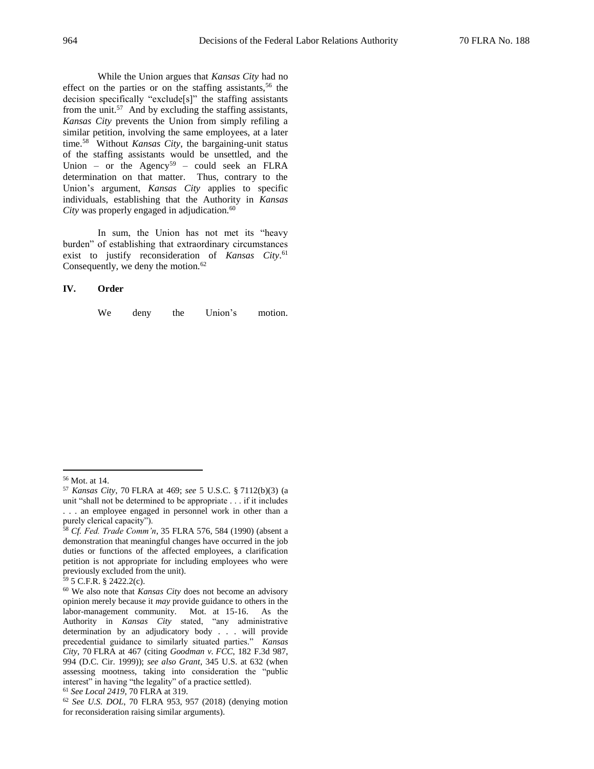While the Union argues that *Kansas City* had no effect on the parties or on the staffing assistants,  $56$  the decision specifically "exclude[s]" the staffing assistants from the unit.<sup>57</sup> And by excluding the staffing assistants, *Kansas City* prevents the Union from simply refiling a similar petition, involving the same employees, at a later time.<sup>58</sup> Without *Kansas City*, the bargaining-unit status of the staffing assistants would be unsettled, and the Union – or the Agency<sup>59</sup> – could seek an FLRA determination on that matter. Thus, contrary to the Union's argument, *Kansas City* applies to specific individuals, establishing that the Authority in *Kansas*  City was properly engaged in adjudication.<sup>60</sup>

In sum, the Union has not met its "heavy burden" of establishing that extraordinary circumstances exist to justify reconsideration of *Kansas City*. 61 Consequently, we deny the motion. $62$ 

# **IV. Order**

We deny the Union's motion.

<sup>56</sup> Mot. at 14.

<sup>57</sup> *Kansas City*, 70 FLRA at 469; *see* 5 U.S.C. § 7112(b)(3) (a unit "shall not be determined to be appropriate . . . if it includes . . . an employee engaged in personnel work in other than a purely clerical capacity").

<sup>58</sup> *Cf. Fed. Trade Comm'n*, 35 FLRA 576, 584 (1990) (absent a demonstration that meaningful changes have occurred in the job duties or functions of the affected employees, a clarification petition is not appropriate for including employees who were previously excluded from the unit).

 $59$  5 C.F.R. § 2422.2(c).

<sup>60</sup> We also note that *Kansas City* does not become an advisory opinion merely because it *may* provide guidance to others in the labor-management community. Mot. at 15-16. As the Authority in *Kansas City* stated, "any administrative determination by an adjudicatory body . . . will provide precedential guidance to similarly situated parties." *Kansas City*, 70 FLRA at 467 (citing *Goodman v. FCC*, 182 F.3d 987, 994 (D.C. Cir. 1999)); *see also Grant*, 345 U.S. at 632 (when assessing mootness, taking into consideration the "public interest" in having "the legality" of a practice settled).

<sup>61</sup> *See Local 2419*, 70 FLRA at 319.

<sup>62</sup> *See U.S. DOL*, 70 FLRA 953, 957 (2018) (denying motion for reconsideration raising similar arguments).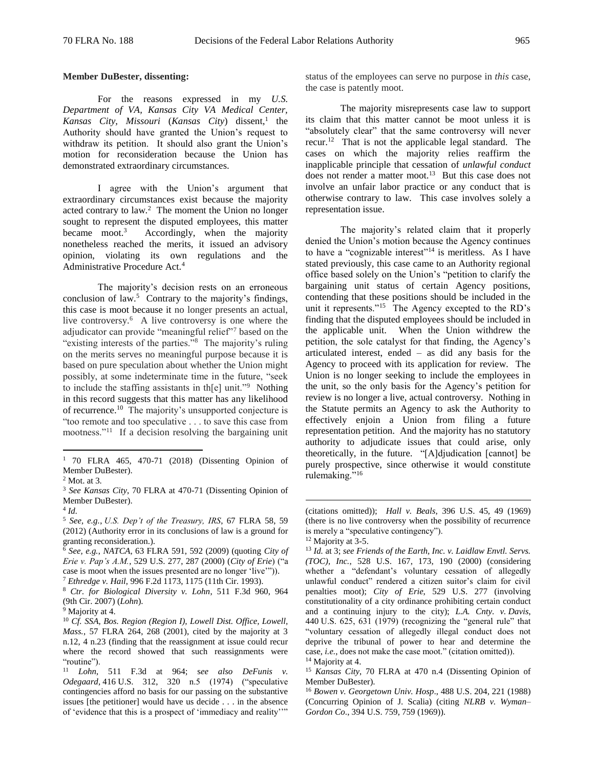### **Member DuBester, dissenting:**

For the reasons expressed in my *U.S. Department of VA, Kansas City VA Medical Center,*  Kansas City, Missouri (Kansas City) dissent,<sup>1</sup> the Authority should have granted the Union's request to withdraw its petition. It should also grant the Union's motion for reconsideration because the Union has demonstrated extraordinary circumstances.

I agree with the Union's argument that extraordinary circumstances exist because the majority acted contrary to law.<sup>2</sup> The moment the Union no longer sought to represent the disputed employees, this matter became moot.<sup>3</sup> Accordingly, when the majority nonetheless reached the merits, it issued an advisory opinion, violating its own regulations and the Administrative Procedure Act.<sup>4</sup>

The majority's decision rests on an erroneous conclusion of law.<sup>5</sup> Contrary to the majority's findings, this case is moot because it no longer presents an actual, live controversy.<sup>6</sup> A live controversy is one where the adjudicator can provide "meaningful relief"<sup>7</sup> based on the "existing interests of the parties."<sup>8</sup> The majority's ruling on the merits serves no meaningful purpose because it is based on pure speculation about whether the Union might possibly, at some indeterminate time in the future, "seek to include the staffing assistants in th $[e]$  unit."<sup>9</sup> Nothing in this record suggests that this matter has any likelihood of recurrence.<sup>10</sup> The majority's unsupported conjecture is "too remote and too speculative . . . to save this case from mootness."<sup>11</sup> If a decision resolving the bargaining unit

 $\overline{a}$ 

status of the employees can serve no purpose in *this* case, the case is patently moot.

The majority misrepresents case law to support its claim that this matter cannot be moot unless it is "absolutely clear" that the same controversy will never recur.<sup>12</sup> That is not the applicable legal standard. The cases on which the majority relies reaffirm the inapplicable principle that cessation of *unlawful conduct*  does not render a matter moot.<sup>13</sup> But this case does not involve an unfair labor practice or any conduct that is otherwise contrary to law. This case involves solely a representation issue.

The majority's related claim that it properly denied the Union's motion because the Agency continues to have a "cognizable interest"<sup>14</sup> is meritless. As I have stated previously, this case came to an Authority regional office based solely on the Union's "petition to clarify the bargaining unit status of certain Agency positions, contending that these positions should be included in the unit it represents."<sup>15</sup> The Agency excepted to the RD's finding that the disputed employees should be included in the applicable unit. When the Union withdrew the petition, the sole catalyst for that finding, the Agency's articulated interest, ended – as did any basis for the Agency to proceed with its application for review. The Union is no longer seeking to include the employees in the unit, so the only basis for the Agency's petition for review is no longer a live, actual controversy. Nothing in the Statute permits an Agency to ask the Authority to effectively enjoin a Union from filing a future representation petition. And the majority has no statutory authority to adjudicate issues that could arise, only theoretically, in the future. "[A]djudication [cannot] be purely prospective, since otherwise it would constitute rulemaking."<sup>16</sup>

<sup>1</sup> 70 FLRA 465, 470-71 (2018) (Dissenting Opinion of Member DuBester).

<sup>2</sup> Mot. at 3.

<sup>3</sup> *See Kansas City*, 70 FLRA at 470-71 (Dissenting Opinion of Member DuBester).

<sup>4</sup> *Id.*

<sup>5</sup> *See, e.g.*, *U.S. Dep't of the Treasury, IRS*, 67 FLRA 58, 59 (2012) (Authority error in its conclusions of law is a ground for granting reconsideration.).

<sup>6</sup> *See, e.g.*, *NATCA*, 63 FLRA 591, 592 (2009) (quoting *City of Erie v. Pap's A.M.*, 529 U.S. 277, 287 (2000) (*City of Erie*) ("a case is moot when the issues presented are no longer 'live'")).

<sup>7</sup> *Ethredge v. Hail*, 996 F.2d 1173, 1175 (11th Cir. 1993).

<sup>8</sup> *Ctr. for Biological Diversity v. Lohn*, 511 F.3d 960, 964 (9th Cir. 2007) (*Lohn*).

<sup>&</sup>lt;sup>9</sup> Majority at 4.

<sup>10</sup> *Cf. SSA, Bos. Region (Region I), Lowell Dist. Office, Lowell, Mass.*, 57 FLRA 264, 268 (2001), cited by the majority at 3 n.12, 4 n.23 (finding that the reassignment at issue could recur where the record showed that such reassignments were "routine").<br> $I_1$   $I_2$ *hn*.

<sup>11</sup> *Lohn*, 511 F.3d at 964; s*ee also DeFunis v. Odegaard,* 416 U.S. 312, 320 n.5 (1974) ("speculative contingencies afford no basis for our passing on the substantive issues [the petitioner] would have us decide . . . in the absence of 'evidence that this is a prospect of 'immediacy and reality''"

<sup>(</sup>citations omitted)); *Hall v. Beals*, 396 U.S. 45, 49 (1969) (there is no live controversy when the possibility of recurrence is merely a "speculative contingency").

<sup>12</sup> Majority at 3-5.

<sup>13</sup> *Id.* at 3; *see Friends of the Earth, Inc. v. Laidlaw Envtl. Servs. (TOC), Inc.*, 528 U.S. 167, 173, 190 (2000) (considering whether a "defendant's voluntary cessation of allegedly unlawful conduct" rendered a citizen suitor's claim for civil penalties moot); *City of Erie*, 529 U.S. 277 (involving constitutionality of a city ordinance prohibiting certain conduct and a continuing injury to the city); *L.A. Cnty. v. Davis*, 440 U.S. 625, 631 (1979) (recognizing the "general rule" that "voluntary cessation of allegedly illegal conduct does not deprive the tribunal of power to hear and determine the case, *i.e.*, does not make the case moot." (citation omitted)). <sup>14</sup> Majority at 4.

<sup>15</sup> *Kansas City*, 70 FLRA at 470 n.4 (Dissenting Opinion of Member DuBester).

<sup>16</sup> *Bowen v. Georgetown Univ. Hosp*., 488 U.S. 204, 221 (1988) (Concurring Opinion of J. Scalia) (citing *NLRB v. Wyman– Gordon Co*., 394 U.S. 759, 759 (1969)).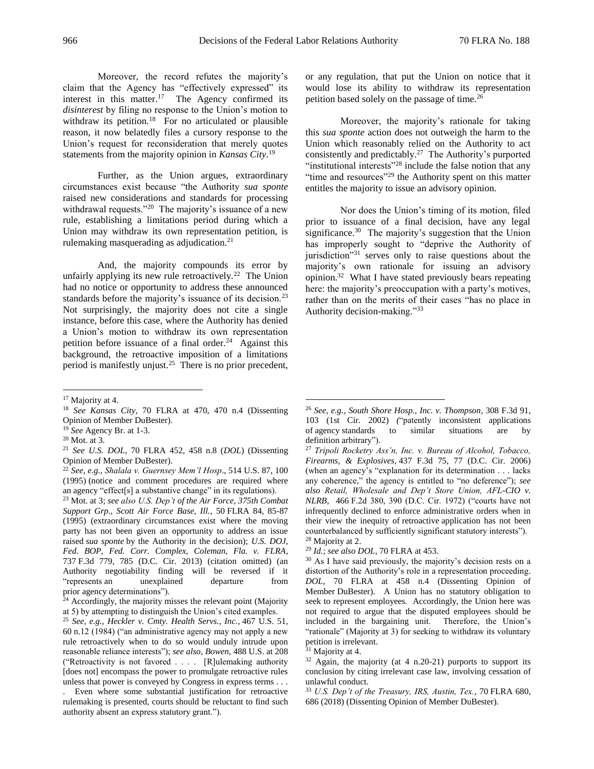Moreover, the record refutes the majority's claim that the Agency has "effectively expressed" its interest in this matter.<sup>17</sup> The Agency confirmed its *disinterest* by filing no response to the Union's motion to withdraw its petition.<sup>18</sup> For no articulated or plausible reason, it now belatedly files a cursory response to the Union's request for reconsideration that merely quotes statements from the majority opinion in *Kansas City*. 19

Further, as the Union argues, extraordinary circumstances exist because "the Authority *sua sponte* raised new considerations and standards for processing withdrawal requests."<sup>20</sup> The majority's issuance of a new rule, establishing a limitations period during which a Union may withdraw its own representation petition, is rulemaking masquerading as adjudication.<sup>21</sup>

And, the majority compounds its error by unfairly applying its new rule retroactively.<sup>22</sup> The Union had no notice or opportunity to address these announced standards before the majority's issuance of its decision.<sup>23</sup> Not surprisingly, the majority does not cite a single instance, before this case, where the Authority has denied a Union's motion to withdraw its own representation petition before issuance of a final order.<sup>24</sup> Against this background, the retroactive imposition of a limitations period is manifestly unjust.<sup>25</sup> There is no prior precedent,

 $\overline{a}$ 

<sup>23</sup> Mot. at 3; *see also U.S. Dep't of the Air Force, 375th Combat Support Grp., Scott Air Force Base, Ill.*, 50 FLRA 84, 85-87 (1995) (extraordinary circumstances exist where the moving party has not been given an opportunity to address an issue raised *sua sponte* by the Authority in the decision); *U.S. DOJ, Fed. BOP, Fed. Corr. Complex, Coleman, Fla. v. FLRA*, 737 F.3d 779, 785 (D.C. Cir. 2013) (citation omitted) (an Authority negotiability finding will be reversed if it "represents an unexplained departure from prior agency determinations").

. Even where some substantial justification for retroactive rulemaking is presented, courts should be reluctant to find such authority absent an express statutory grant.").

or any regulation, that put the Union on notice that it would lose its ability to withdraw its representation petition based solely on the passage of time.<sup>26</sup>

Moreover, the majority's rationale for taking this *sua sponte* action does not outweigh the harm to the Union which reasonably relied on the Authority to act consistently and predictably.<sup>27</sup> The Authority's purported "institutional interests"<sup>28</sup> include the false notion that any "time and resources"<sup>29</sup> the Authority spent on this matter entitles the majority to issue an advisory opinion.

Nor does the Union's timing of its motion, filed prior to issuance of a final decision, have any legal significance.<sup>30</sup> The majority's suggestion that the Union has improperly sought to "deprive the Authority of jurisdiction"<sup>31</sup> serves only to raise questions about the majority's own rationale for issuing an advisory opinion.<sup>32</sup> What I have stated previously bears repeating here: the majority's preoccupation with a party's motives, rather than on the merits of their cases "has no place in Authority decision-making."<sup>33</sup>

<sup>&</sup>lt;sup>17</sup> Majority at 4.

<sup>18</sup> *See Kansas City*, 70 FLRA at 470, 470 n.4 (Dissenting Opinion of Member DuBester).

<sup>19</sup> *See* Agency Br. at 1-3.

 $20$  Mot. at 3.

<sup>21</sup> *See U.S. DOL*, 70 FLRA 452, 458 n.8 (*DOL*) (Dissenting Opinion of Member DuBester).

<sup>22</sup> *See, e.g.*, *[Shalala v. Guernsey Mem'l Hosp](https://1.next.westlaw.com/Link/Document/FullText?findType=Y&serNum=1995058648&pubNum=0000708&originatingDoc=Idd892d20599611e6a6699ce8baa114cf&refType=RP&originationContext=document&transitionType=DocumentItem&contextData=(sc.Search))*., 514 U.S. 87, 100 [\(1995\)](https://1.next.westlaw.com/Link/Document/FullText?findType=Y&serNum=1995058648&pubNum=0000708&originatingDoc=Idd892d20599611e6a6699ce8baa114cf&refType=RP&originationContext=document&transitionType=DocumentItem&contextData=(sc.Search)) (notice and comment procedures are required where an agency "effect[s] a substantive change" in its regulations).

<sup>&</sup>lt;sup>24</sup> Accordingly, the majority misses the relevant point (Majority at 5) by attempting to distinguish the Union's cited examples.

<sup>25</sup> *See, e.g.*, *[Heckler v. Cmty. Health Servs., Inc.](https://1.next.westlaw.com/Link/Document/FullText?findType=Y&serNum=1984124684&pubNum=708&originatingDoc=I2514876894c911d993e6d35cc61aab4a&refType=RP&fi=co_pp_sp_708_2224&originationContext=document&transitionType=DocumentItem&contextData=(sc.DocLink)#co_pp_sp_708_2224)*, 467 U.S. 51, [60](https://1.next.westlaw.com/Link/Document/FullText?findType=Y&serNum=1984124684&pubNum=708&originatingDoc=I2514876894c911d993e6d35cc61aab4a&refType=RP&fi=co_pp_sp_708_2224&originationContext=document&transitionType=DocumentItem&contextData=(sc.DocLink)#co_pp_sp_708_2224) n.12 (1984) ("an administrative agency may not apply a new rule retroactively when to do so would unduly intrude upon reasonable reliance interests"); *see also, Bowen*, 488 U.S. at 208 ("Retroactivity is not favored . . . . [R]ulemaking authority [does not] encompass the power to promulgate retroactive rules unless that power is conveyed by Congress in express terms . . .

<sup>26</sup> *See, e.g.*, *South Shore Hosp., Inc. v. Thompson*, 308 F.3d 91, 103 (1st Cir. 2002) *(*"patently inconsistent applications of agency standards to similar situations are by definition arbitrary").

<sup>27</sup> *[Tripoli Rocketry Ass'n, Inc. v. Bureau of Alcohol, Tobacco,](https://1.next.westlaw.com/Link/Document/FullText?findType=Y&serNum=2008388156&pubNum=506&originatingDoc=I0f968ff9671011e3a341ea44e5e1f25f&refType=RP&fi=co_pp_sp_506_77&originationContext=document&transitionType=DocumentItem&contextData=(sc.Search)#co_pp_sp_506_77)  Firearms, & Explosives*, [437 F.3d 75, 77 \(D.C. Cir. 2006\)](https://1.next.westlaw.com/Link/Document/FullText?findType=Y&serNum=2008388156&pubNum=506&originatingDoc=I0f968ff9671011e3a341ea44e5e1f25f&refType=RP&fi=co_pp_sp_506_77&originationContext=document&transitionType=DocumentItem&contextData=(sc.Search)#co_pp_sp_506_77) (when an agency's "explanation for its determination . . . lacks any coherence," the agency is entitled to "no deference"); *see also Retail, Wholesale and Dep't Store Union, AFL-CIO v. NLRB*, 466 F.2d 380, 390 (D.C. Cir. 1972) ("courts have not infrequently declined to enforce administrative orders when in their view the inequity of retroactive application has not been counterbalanced by sufficiently significant statutory interests"). <sup>28</sup> Majority at 2.

<sup>29</sup> *Id.*; *see also DOL*, 70 FLRA at 453.

<sup>&</sup>lt;sup>30</sup> As I have said previously, the majority's decision rests on a distortion of the Authority's role in a representation proceeding. *DOL*, 70 FLRA at 458 n.4 (Dissenting Opinion of Member DuBester). A Union has no statutory obligation to seek to represent employees. Accordingly, the Union here was not required to argue that the disputed employees should be included in the bargaining unit. Therefore, the Union's "rationale" (Majority at 3) for seeking to withdraw its voluntary petition is irrelevant.

<sup>&</sup>lt;sup>31</sup> Majority at 4.

<sup>32</sup> Again, the majority (at 4 n.20-21) purports to support its conclusion by citing irrelevant case law, involving cessation of unlawful conduct.

<sup>33</sup> *U.S. Dep't of the Treasury, IRS, Austin, Tex.*, 70 FLRA 680, 686 (2018) (Dissenting Opinion of Member DuBester).